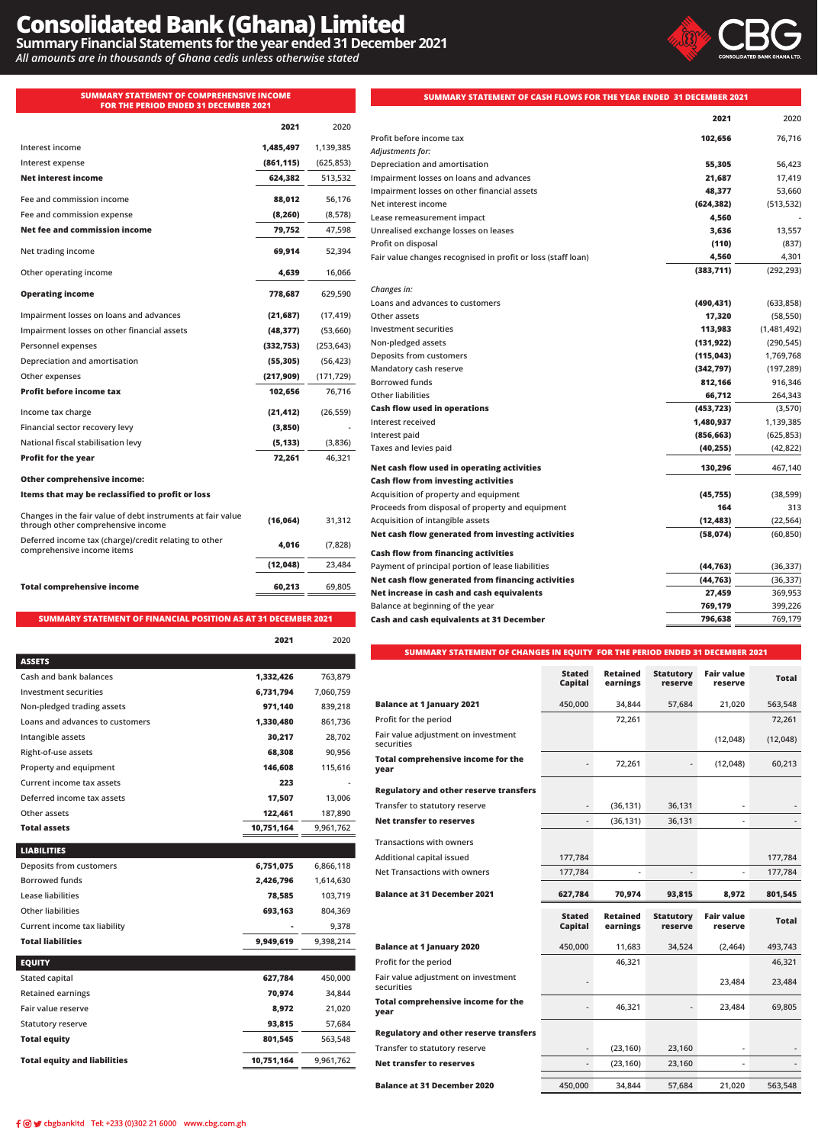# **Consolidated Bank (Ghana) Limited**

**Summary Financial Statements for the year ended 31 December 2021**

*All amounts are in thousands of Ghana cedis unless otherwise stated*

#### **SUMMARY STATEMENT OF COMPREHENSIVE INCOME FOR THE PERIOD ENDED 31 DECEMBER**

 $Interest income$ **Interest expense (861,115) (625,853) Net interest income** 

**Net trading income** 

**Operating income** 

**Personnel expenses (332,753) (253,643)**

**Other expenses (217,909) (171,729)**

**Income tax charge (21,412) (26,559)**

**Profit for the year** 

**Depreciation and amortisation (55,305) (56,423)**

**Profit before income tax** 

**Financial sector recovery levy (3,850) - National fiscal stabilisation levy (5,133) (3,836)**

**Other comprehensive income:**

**comprehensive income items 4,016 (7,828)**

**Total comprehensive income 60,213 69,805** 

**through other comprehensive income (16,064) 31,312** 

**Items that may be reclassified to profit or loss**

**Changes in the fair value of debt instruments at fair value** 

**Deferred income tax (charge)/credit relating to other** 

**Other operating income 4,639 16,066** 

**Impairment losses on loans and advances (21,687) (17,419) Impairment losses on other financial assets (48,377) (53,660)**

**Fee and commission income 88,012 56,176 Fee and commission expense (8,260) (8,578) Net fee and commission income 79,752 47,598** 

| <b>CONSOLIDATED BANK GHANA</b> |
|--------------------------------|
|--------------------------------|

| E INCOME<br>2021   |            | SUMMARY STATEMENT OF CASH FLOWS FOR THE YEAR ENDED 31 DECEMBER 2021 |            |             |  |  |
|--------------------|------------|---------------------------------------------------------------------|------------|-------------|--|--|
| 2021               | 2020       |                                                                     | 2021       | 2020        |  |  |
|                    |            | Profit before income tax                                            | 102,656    | 76,716      |  |  |
| 1,485,497          | 1,139,385  | Adjustments for:                                                    |            |             |  |  |
| (861, 115)         | (625, 853) | Depreciation and amortisation                                       | 55,305     | 56,423      |  |  |
| 624,382            | 513,532    | Impairment losses on loans and advances                             | 21,687     | 17,419      |  |  |
|                    |            | Impairment losses on other financial assets                         | 48,377     | 53,660      |  |  |
| 88,012             | 56,176     | Net interest income                                                 | (624, 382) | (513, 532)  |  |  |
| (8, 260)           | (8,578)    | Lease remeasurement impact                                          | 4,560      |             |  |  |
| 79,752             | 47,598     | Unrealised exchange losses on leases                                | 3,636      | 13,557      |  |  |
|                    |            | Profit on disposal                                                  | (110)      | (837)       |  |  |
| 69,914             | 52,394     | Fair value changes recognised in profit or loss (staff loan)        | 4,560      | 4,301       |  |  |
| 4,639              | 16,066     |                                                                     | (383,711)  | (292, 293)  |  |  |
| 778,687            | 629,590    | Changes in:                                                         |            |             |  |  |
|                    |            | Loans and advances to customers                                     | (490, 431) | (633, 858)  |  |  |
| (21, 687)          | (17, 419)  | Other assets                                                        | 17,320     | (58, 550)   |  |  |
| (48, 377)          | (53,660)   | Investment securities                                               | 113,983    | (1,481,492) |  |  |
| (332, 753)         | (253, 643) | Non-pledged assets                                                  | (131, 922) | (290, 545)  |  |  |
| (55, 305)          | (56, 423)  | Deposits from customers                                             | (115, 043) | 1,769,768   |  |  |
| (217, 909)         | (171, 729) | Mandatory cash reserve                                              | (342, 797) | (197, 289)  |  |  |
|                    |            | <b>Borrowed funds</b>                                               | 812,166    | 916,346     |  |  |
| 102,656            | 76,716     | <b>Other liabilities</b>                                            | 66,712     | 264,343     |  |  |
| (21, 412)          | (26, 559)  | <b>Cash flow used in operations</b>                                 | (453, 723) | (3,570)     |  |  |
| (3,850)            |            | Interest received                                                   | 1,480,937  | 1,139,385   |  |  |
| (5, 133)           | (3,836)    | Interest paid                                                       | (856, 663) | (625, 853)  |  |  |
| 72,261             | 46,321     | Taxes and levies paid                                               | (40, 255)  | (42, 822)   |  |  |
|                    |            | Net cash flow used in operating activities                          | 130,296    | 467,140     |  |  |
|                    |            | <b>Cash flow from investing activities</b>                          |            |             |  |  |
|                    |            | Acquisition of property and equipment                               | (45, 755)  | (38, 599)   |  |  |
|                    |            | Proceeds from disposal of property and equipment                    | 164        | 313         |  |  |
| (16,064)           | 31,312     | Acquisition of intangible assets                                    | (12, 483)  | (22, 564)   |  |  |
|                    |            | Net cash flow generated from investing activities                   | (58, 074)  | (60, 850)   |  |  |
| 4,016              | (7,828)    | <b>Cash flow from financing activities</b>                          |            |             |  |  |
| (12, 048)          | 23,484     | Payment of principal portion of lease liabilities                   | (44, 763)  | (36, 337)   |  |  |
|                    |            | Net cash flow generated from financing activities                   | (44, 763)  | (36, 337)   |  |  |
| 60,213             | 69,805     | Net increase in cash and cash equivalents                           | 27,459     | 369,953     |  |  |
|                    |            | Balance at beginning of the year                                    | 769,179    | 399,226     |  |  |
| T 31 DECEMBER 2021 |            | Cash and cash equivalents at 31 December                            | 796,638    | 769,179     |  |  |

# **SUMMARY STATEMENT OF FINANCIAL POSITION AS AT 31 DECEMBER 2021**

|                                     | 2021       | 2020      |
|-------------------------------------|------------|-----------|
| <b>ASSETS</b>                       |            |           |
| Cash and bank balances              | 1,332,426  | 763,879   |
| Investment securities               | 6,731,794  | 7,060,759 |
| Non-pledged trading assets          | 971,140    | 839,218   |
| Loans and advances to customers     | 1,330,480  | 861,736   |
| Intangible assets                   | 30,217     | 28,702    |
| Right-of-use assets                 | 68,308     | 90,956    |
| Property and equipment              | 146,608    | 115,616   |
| Current income tax assets           | 223        |           |
| Deferred income tax assets          | 17,507     | 13,006    |
| Other assets                        | 122,461    | 187,890   |
| <b>Total assets</b>                 | 10,751,164 | 9,961,762 |
| <b>LIABILITIES</b>                  |            |           |
| Deposits from customers             | 6,751,075  | 6,866,118 |
| <b>Borrowed funds</b>               | 2,426,796  | 1,614,630 |
| Lease liabilities                   | 78,585     | 103,719   |
| <b>Other liabilities</b>            | 693,163    | 804,369   |
| Current income tax liability        |            | 9,378     |
| <b>Total liabilities</b>            | 9,949,619  | 9,398,214 |
| <b>EQUITY</b>                       |            |           |
| Stated capital                      | 627,784    | 450,000   |
| <b>Retained earnings</b>            | 70,974     | 34,844    |
| Fair value reserve                  | 8,972      | 21,020    |
| <b>Statutory reserve</b>            | 93,815     | 57,684    |
| <b>Total equity</b>                 | 801,545    | 563,548   |
| <b>Total equity and liabilities</b> | 10,751,164 | 9,961,762 |
|                                     |            |           |

# **SUMMARY STATEMENT OF CHANGES IN EQUITY FOR THE PERIOD ENDED 31 DECEMBER 2021**

|                                                   | <b>Stated</b><br><b>Capital</b> | Retained<br>earnings | <b>Statutory</b><br>reserve | <b>Fair value</b><br>reserve | <b>Total</b> |
|---------------------------------------------------|---------------------------------|----------------------|-----------------------------|------------------------------|--------------|
| <b>Balance at 1 January 2021</b>                  | 450,000                         | 34,844               | 57,684                      | 21,020                       | 563,548      |
| Profit for the period                             |                                 | 72,261               |                             |                              | 72,261       |
| Fair value adjustment on investment<br>securities |                                 |                      |                             | (12,048)                     | (12,048)     |
| <b>Total comprehensive income for the</b><br>year |                                 | 72,261               |                             | (12,048)                     | 60,213       |
| <b>Regulatory and other reserve transfers</b>     |                                 |                      |                             |                              |              |
| Transfer to statutory reserve                     |                                 | (36, 131)            | 36,131                      |                              |              |
| <b>Net transfer to reserves</b>                   |                                 | (36, 131)            | 36,131                      |                              |              |
| <b>Transactions with owners</b>                   |                                 |                      |                             |                              |              |
| Additional capital issued                         | 177,784                         |                      |                             |                              | 177,784      |
| <b>Net Transactions with owners</b>               | 177,784                         |                      |                             |                              | 177,784      |
| <b>Balance at 31 December 2021</b>                | 627,784                         | 70,974               | 93,815                      | 8,972                        | 801,545      |
|                                                   |                                 |                      |                             |                              |              |
|                                                   | <b>Stated</b><br>Capital        | Retained<br>earnings | <b>Statutory</b><br>reserve | <b>Fair value</b><br>reserve | <b>Total</b> |
| <b>Balance at 1 January 2020</b>                  | 450,000                         | 11,683               | 34,524                      | (2, 464)                     | 493,743      |
| Profit for the period                             |                                 | 46,321               |                             |                              | 46,321       |
| Fair value adjustment on investment<br>securities |                                 |                      |                             | 23,484                       | 23,484       |
| Total comprehensive income for the<br>year        |                                 | 46,321               |                             | 23,484                       | 69,805       |
| <b>Regulatory and other reserve transfers</b>     |                                 |                      |                             |                              |              |
| Transfer to statutory reserve                     |                                 | (23, 160)            | 23,160                      |                              |              |
| <b>Net transfer to reserves</b>                   | $\blacksquare$                  | (23, 160)            | 23,160                      |                              |              |
| <b>Balance at 31 December 2020</b>                | 450,000                         | 34,844               | 57,684                      | 21,020                       | 563,548      |